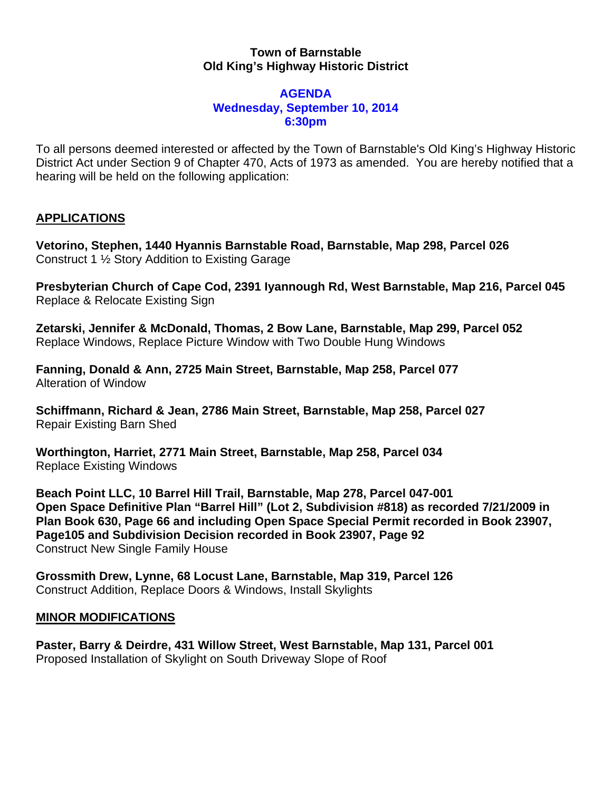## **Town of Barnstable Old King's Highway Historic District**

## **AGENDA Wednesday, September 10, 2014 6:30pm**

To all persons deemed interested or affected by the Town of Barnstable's Old King's Highway Historic District Act under Section 9 of Chapter 470, Acts of 1973 as amended. You are hereby notified that a hearing will be held on the following application:

## **APPLICATIONS**

**Vetorino, Stephen, 1440 Hyannis Barnstable Road, Barnstable, Map 298, Parcel 026**  Construct 1 ½ Story Addition to Existing Garage

**Presbyterian Church of Cape Cod, 2391 Iyannough Rd, West Barnstable, Map 216, Parcel 045**  Replace & Relocate Existing Sign

**Zetarski, Jennifer & McDonald, Thomas, 2 Bow Lane, Barnstable, Map 299, Parcel 052**  Replace Windows, Replace Picture Window with Two Double Hung Windows

**Fanning, Donald & Ann, 2725 Main Street, Barnstable, Map 258, Parcel 077**  Alteration of Window

**Schiffmann, Richard & Jean, 2786 Main Street, Barnstable, Map 258, Parcel 027**  Repair Existing Barn Shed

**Worthington, Harriet, 2771 Main Street, Barnstable, Map 258, Parcel 034**  Replace Existing Windows

**Beach Point LLC, 10 Barrel Hill Trail, Barnstable, Map 278, Parcel 047-001 Open Space Definitive Plan "Barrel Hill" (Lot 2, Subdivision #818) as recorded 7/21/2009 in Plan Book 630, Page 66 and including Open Space Special Permit recorded in Book 23907, Page105 and Subdivision Decision recorded in Book 23907, Page 92**  Construct New Single Family House

**Grossmith Drew, Lynne, 68 Locust Lane, Barnstable, Map 319, Parcel 126**  Construct Addition, Replace Doors & Windows, Install Skylights

## **MINOR MODIFICATIONS**

**Paster, Barry & Deirdre, 431 Willow Street, West Barnstable, Map 131, Parcel 001**  Proposed Installation of Skylight on South Driveway Slope of Roof